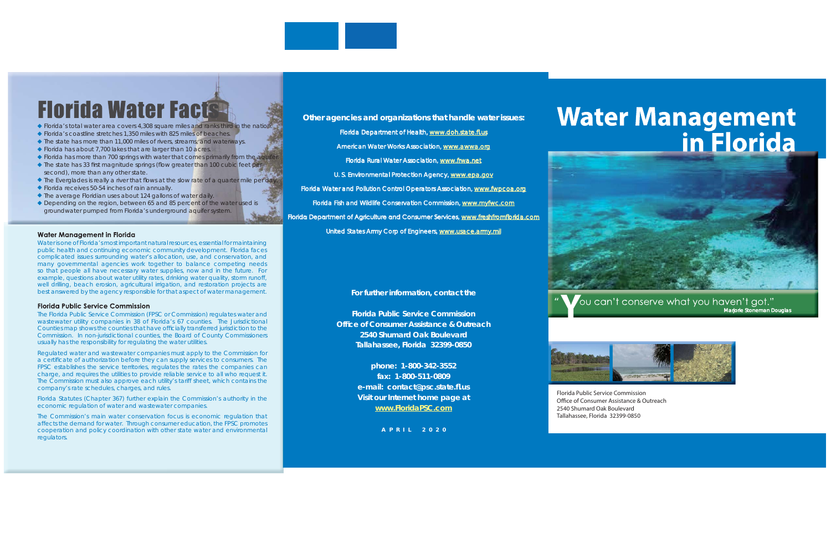### *Other agencies and organizations that handle water issues: ther agencies and organizations that handle water*

Florida Department of Health, [www.doh.state.](www.doh.state.fl.us)fl.us American Water Works Association, <www.awwa.org> Florida Rural Water Association, lorida *<www.frwa.net> ww.frwa.net* U. S. Environmental Protection Agency, <www.epa.gov> Florida Water and Pollution Control Operators Association, <www.fwpcoa.org> Florida Fish and Wildlife Conservation Commission, [www.my](www.myfwc.com)fwc.com Florida Department of Agriculture and Consumer Services, *[www.freshfrom](www.freshfromflorida.com) ww.freshfromfl orida.com orida.com*

United States Army Corp of Engineers, [www.usace.army.m](www.usace.army.mil)il

ou can't conserve what you haven't got." *Marjorie Stoneman Douglas arjorie* 

**For further information, contact the** 

**Florida Public Service CommissionOffi ce of Consumer Assistance & Outreach 2540 Shumard Oak BoulevardTallahassee, Florida 32399-0850**

> **phone: 1-800-342-3552 fax: 1-800-511-0809e-mail: contact@psc.state.fl .us Visit our Internet home page at** *[www.FloridaPSC.com](www.floridapsc.com)*





Florida Public Service CommissionOffice of Consumer Assistance & Outreach 2540 Shumard Oak Boulevard Tallahassee, Florida 32399-0850

# **Water Management** in Florida

Water is one of Florida's most important natural resources, essential for maintaining public health and continuing economic community development. Florida faces complicated issues surrounding water's allocation, use, and conservation, and many governmental agencies work together to balance competing needs so that people all have necessary water supplies, now and in the future. For example, questions about water utility rates, drinking water quality, storm runoff, well drilling, beach erosion, agricultural irrigation, and restoration projects are best answered by the agency responsible for that aspect of water management.

#### **Florida Public Service Commission**

The Florida Public Service Commission (FPSC or Commission) regulates water and wastewater utility companies in 38 of Florida's 67 counties. The Jurisdictional Counties map shows the counties that have officially transferred jurisdiction to the Commission. In non-jurisdictional counties, the Board of County Commissioners usually has the responsibility for regulating the water utilities.

Regulated water and wastewater companies must apply to the Commission for a certificate of authorization before they can supply services to consumers. The FPSC establishes the service territories, regulates the rates the companies can charge, and requires the utilities to provide reliable service to all who request it. The Commission must also approve each utility's tariff sheet, which contains the company's rate schedules, charges, and rules.

Florida Statutes (Chapter 367) further explain the Commission's authority in the economic regulation of water and wastewater companies.

The Commission's main water conservation focus is economic regulation that affects the demand for water. Through consumer education, the FPSC promotes cooperation and policy coordination with other state water and environmental regulators.

# **Florida Water Facts®**

- Florida's total water area covers 4,308 square miles and ranks third in the nation.
- Florida's coastline stretches 1,350 miles with 825 miles of beaches.
- ◆ The state has more than 11,000 miles of rivers, streams, and waterways.
- ◆ Florida has about 7,700 lakes that are larger than 10 acres.
- **Florida has more than 700 springs with water that comes primarily from the aquifer.**
- $\blacklozenge$  The state has 33 first magnitude springs (flow greater than 100 cubic feet per second), more than any other state.
- $\blacklozenge$  The Everglades is really a river that flows at the slow rate of a quarter mile per day.
- Florida receives 50-54 inches of rain annually.
- ◆ The average Floridian uses about 124 gallons of water daily.
- ◆ Depending on the region, between 65 and 85 percent of the water used is groundwater pumped from Florida's underground aquifer system.

#### **Water Management in Florida**